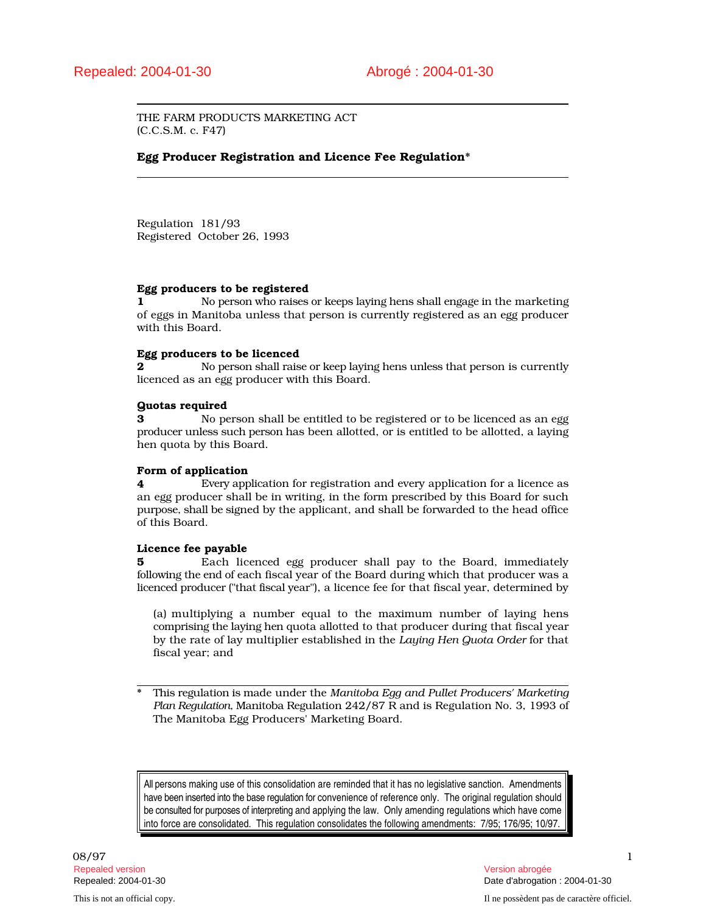THE FARM PRODUCTS MARKETING ACT (C.C.S.M. c. F47)

## Egg Producer Registration and Licence Fee Regulation\*

Regulation 181/93 Registered October 26, 1993

### Egg producers to be registered

1 No person who raises or keeps laying hens shall engage in the marketing of eggs in Manitoba unless that person is currently registered as an egg producer with this Board.

### Egg producers to be licenced

2 No person shall raise or keep laying hens unless that person is currently licenced as an egg producer with this Board.

### Quotas required

**3** No person shall be entitled to be registered or to be licenced as an egg producer unless such person has been allotted, or is entitled to be allotted, a laying hen quota by this Board.

### Form of application

4 Every application for registration and every application for a licence as an egg producer shall be in writing, in the form prescribed by this Board for such purpose, shall be signed by the applicant, and shall be forwarded to the head office of this Board.

### Licence fee payable

5 Each licenced egg producer shall pay to the Board, immediately following the end of each fiscal year of the Board during which that producer was a licenced producer ("that fiscal year"), a licence fee for that fiscal year, determined by

(a) multiplying a number equal to the maximum number of laying hens comprising the laying hen quota allotted to that producer during that fiscal year by the rate of lay multiplier established in the *Laying Hen Quota Order* for that fiscal year; and

\* This regulation is made under the *Manitoba Egg and Pullet Producers' Marketing Plan Regulation*, Manitoba Regulation 242/87 R and is Regulation No. 3, 1993 of The Manitoba Egg Producers' Marketing Board.

All persons making use of this consolidation are reminded that it has no legislative sanction. Amendments have been inserted into the base regulation for convenience of reference only. The original regulation should be consulted for purposes of interpreting and applying the law. Only amending regulations which have come into force are consolidated. This regulation consolidates the following amendments: 7/95; 176/95; 10/97.

08/97 and the contract of the contract of the contract of the contract of the contract of the contract of the contract of the contract of the contract of the contract of the contract of the contract of the contract of the Repealed version Version abrogée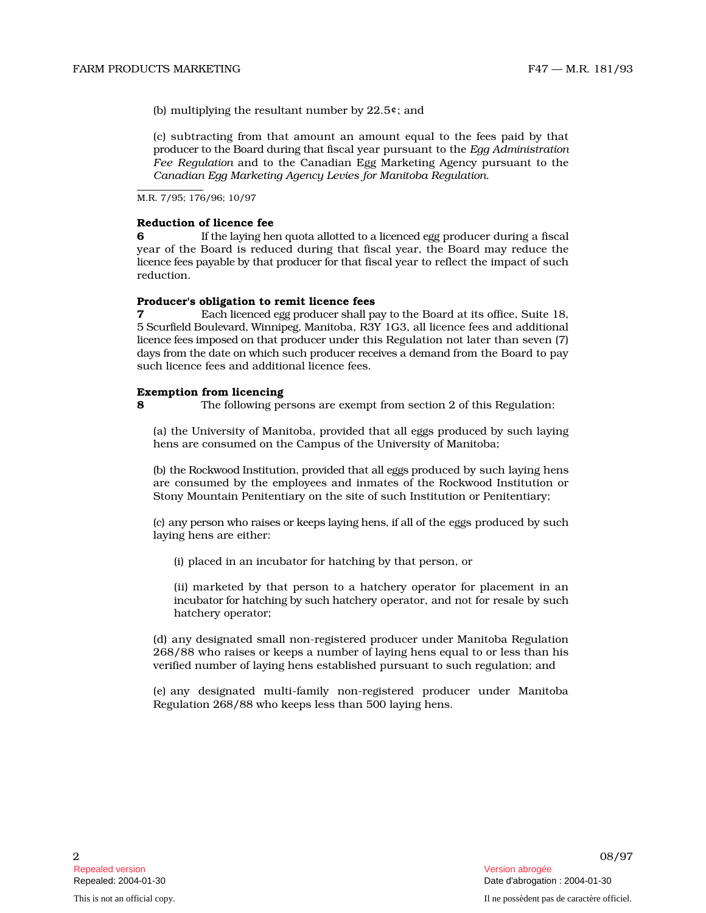(b) multiplying the resultant number by 22.5¢; and

(c) subtracting from that amount an amount equal to the fees paid by that producer to the Board during that fiscal year pursuant to the *Egg Administration* Fee Regulation and to the Canadian Egg Marketing Agency pursuant to the *Canadian Egg Marketing Agency Levies for Manitoba Regulation* .

M.R. 7/95; 176/96; 10/97

# Reduction of licence fee

**6** If the laying hen quota allotted to a licenced egg producer during a fiscal year of the Board is reduced during that fiscal year, the Board may reduce the licence fees payable by that producer for that fiscal year to reflect the impact of such reduction.

## Producer's obligation to remit licence fees

**7** Each licenced egg producer shall pay to the Board at its office, Suite 18, 5 S c u rfi e ld B o u levar d, Winn i p e g, M an i toba, R3Y 1G3, all licence fees and additional lice nce fees i m p osed on th at p r o d ucer u n d er this Regulation not later than seven (7) days from the date on which such producer receives a demand from the Board to pay such licence fees and additional licence fees.

### Exemption from licencing

8 The following persons are exempt from section 2 of this Regulation:

(a) the University of Manitoba, provided that all eggs produced by such layi n g hens are consumed on the Campus of the University of Manitoba;

(b) the Rockwood Institution, provided that all eggs produced by such laying hens are consumed by the employees and inmates of the Rockwood Institution or Stony Mountain Penitentiary on the site of such Institution or Penitentiary;

(c) any person who raises or keeps laying hens, if all of the eggs produced by such laying hens are either:

(i) placed in an incubator for hatching by that person, or

(ii) marketed by that person to a hatchery operator for placement in an incubator for hatching by such hatchery operator, and not for resale by such hatchery operator;

(d) any designated small non-registered producer under Manitoba Regulation 268/88 who raises or keeps a number of laying hens equal to or less than his verified number of laying hens established pursuant to such regulation; and

(e) any designated multi-family non-registered producer under Manito b a Regulation 268/88 who keeps less than 500 laying hens.